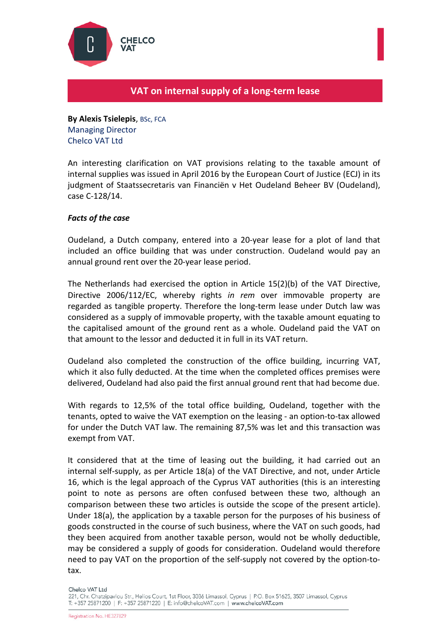

## **VAT on internal supply of a long-term lease**

**By Alexis Tsielepis**, BSc, FCA Managing Director Chelco VAT Ltd

An interesting clarification on VAT provisions relating to the taxable amount of internal supplies was issued in April 2016 by the European Court of Justice (ECJ) in its judgment of Staatssecretaris van Financiën v Het Oudeland Beheer BV (Oudeland), case C-128/14.

## *Facts of the case*

Oudeland, a Dutch company, entered into a 20-year lease for a plot of land that included an office building that was under construction. Oudeland would pay an annual ground rent over the 20-year lease period.

The Netherlands had exercised the option in Article 15(2)(b) of the VAT Directive, Directive 2006/112/EC, whereby rights *in rem* over immovable property are regarded as tangible property. Therefore the long-term lease under Dutch law was considered as a supply of immovable property, with the taxable amount equating to the capitalised amount of the ground rent as a whole. Oudeland paid the VAT on that amount to the lessor and deducted it in full in its VAT return.

Oudeland also completed the construction of the office building, incurring VAT, which it also fully deducted. At the time when the completed offices premises were delivered, Oudeland had also paid the first annual ground rent that had become due.

With regards to 12,5% of the total office building, Oudeland, together with the tenants, opted to waive the VAT exemption on the leasing - an option-to-tax allowed for under the Dutch VAT law. The remaining 87,5% was let and this transaction was exempt from VAT.

It considered that at the time of leasing out the building, it had carried out an internal self-supply, as per Article 18(a) of the VAT Directive, and not, under Article 16, which is the legal approach of the Cyprus VAT authorities (this is an interesting point to note as persons are often confused between these two, although an comparison between these two articles is outside the scope of the present article). Under 18(a), the application by a taxable person for the purposes of his business of goods constructed in the course of such business, where the VAT on such goods, had they been acquired from another taxable person, would not be wholly deductible, may be considered a supply of goods for consideration. Oudeland would therefore need to pay VAT on the proportion of the self-supply not covered by the option-totax.

Chelco VAT Ltd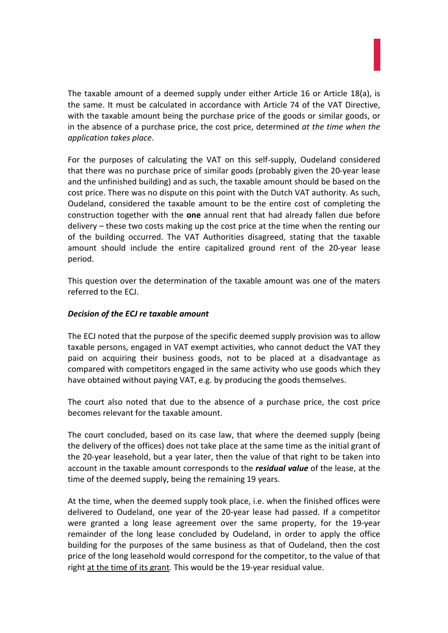The taxable amount of a deemed supply under either Article 16 or Article 18(a), is the same. It must be calculated in accordance with Article 74 of the VAT Directive, with the taxable amount being the purchase price of the goods or similar goods, or in the absence of a purchase price, the cost price, determined *at the time when the application takes place*.

For the purposes of calculating the VAT on this self-supply, Oudeland considered that there was no purchase price of similar goods (probably given the 20-year lease and the unfinished building) and as such, the taxable amount should be based on the cost price. There was no dispute on this point with the Dutch VAT authority. As such, Oudeland, considered the taxable amount to be the entire cost of completing the construction together with the **one** annual rent that had already fallen due before delivery – these two costs making up the cost price at the time when the renting our of the building occurred. The VAT Authorities disagreed, stating that the taxable amount should include the entire capitalized ground rent of the 20-year lease period.

This question over the determination of the taxable amount was one of the maters referred to the ECJ.

## *Decision of the ECJ re taxable amount*

The ECJ noted that the purpose of the specific deemed supply provision was to allow taxable persons, engaged in VAT exempt activities, who cannot deduct the VAT they paid on acquiring their business goods, not to be placed at a disadvantage as compared with competitors engaged in the same activity who use goods which they have obtained without paying VAT, e.g. by producing the goods themselves.

The court also noted that due to the absence of a purchase price, the cost price becomes relevant for the taxable amount.

The court concluded, based on its case law, that where the deemed supply (being the delivery of the offices) does not take place at the same time as the initial grant of the 20-year leasehold, but a year later, then the value of that right to be taken into account in the taxable amount corresponds to the *residual value* of the lease, at the time of the deemed supply, being the remaining 19 years.

At the time, when the deemed supply took place, i.e. when the finished offices were delivered to Oudeland, one year of the 20-year lease had passed. If a competitor were granted a long lease agreement over the same property, for the 19-year remainder of the long lease concluded by Oudeland, in order to apply the office building for the purposes of the same business as that of Oudeland, then the cost price of the long leasehold would correspond for the competitor, to the value of that right at the time of its grant. This would be the 19-year residual value.